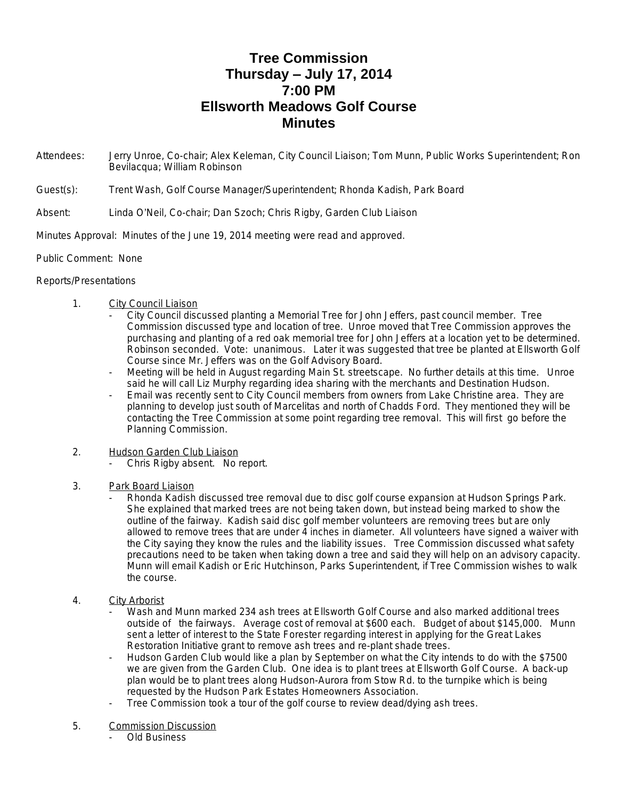## **Tree Commission Thursday – July 17, 2014 7:00 PM Ellsworth Meadows Golf Course Minutes**

- Attendees: Jerry Unroe, Co-chair; Alex Keleman, City Council Liaison; Tom Munn, Public Works Superintendent; Ron Bevilacqua; William Robinson
- Guest(s): Trent Wash, Golf Course Manager/Superintendent; Rhonda Kadish, Park Board
- Absent: Linda O'Neil, Co-chair; Dan Szoch; Chris Rigby, Garden Club Liaison
- Minutes Approval: Minutes of the June 19, 2014 meeting were read and approved.
- Public Comment: None

## Reports/Presentations

- 1. City Council Liaison
	- City Council discussed planting a Memorial Tree for John Jeffers, past council member. Tree Commission discussed type and location of tree. Unroe moved that Tree Commission approves the purchasing and planting of a red oak memorial tree for John Jeffers at a location yet to be determined. Robinson seconded. Vote: unanimous. Later it was suggested that tree be planted at Ellsworth Golf Course since Mr. Jeffers was on the Golf Advisory Board.
	- Meeting will be held in August regarding Main St. streetscape. No further details at this time. Unroe said he will call Liz Murphy regarding idea sharing with the merchants and Destination Hudson.
	- Email was recently sent to City Council members from owners from Lake Christine area. They are planning to develop just south of Marcelitas and north of Chadds Ford. They mentioned they will be contacting the Tree Commission at some point regarding tree removal. This will first go before the Planning Commission.
- 2. Hudson Garden Club Liaison
	- Chris Rigby absent. No report.
- 3. Park Board Liaison
	- Rhonda Kadish discussed tree removal due to disc golf course expansion at Hudson Springs Park. She explained that marked trees are not being taken down, but instead being marked to show the outline of the fairway. Kadish said disc golf member volunteers are removing trees but are only allowed to remove trees that are under 4 inches in diameter. All volunteers have signed a waiver with the City saying they know the rules and the liability issues. Tree Commission discussed what safety precautions need to be taken when taking down a tree and said they will help on an advisory capacity. Munn will email Kadish or Eric Hutchinson, Parks Superintendent, if Tree Commission wishes to walk the course.
- 4. City Arborist
	- Wash and Munn marked 234 ash trees at Ellsworth Golf Course and also marked additional trees outside of the fairways. Average cost of removal at \$600 each. Budget of about \$145,000. Munn sent a letter of interest to the State Forester regarding interest in applying for the Great Lakes Restoration Initiative grant to remove ash trees and re-plant shade trees.
	- Hudson Garden Club would like a plan by September on what the City intends to do with the \$7500 we are given from the Garden Club. One idea is to plant trees at Ellsworth Golf Course. A back-up plan would be to plant trees along Hudson-Aurora from Stow Rd. to the turnpike which is being requested by the Hudson Park Estates Homeowners Association.
	- Tree Commission took a tour of the golf course to review dead/dying ash trees.
- 5. Commission Discussion
	- Old Business